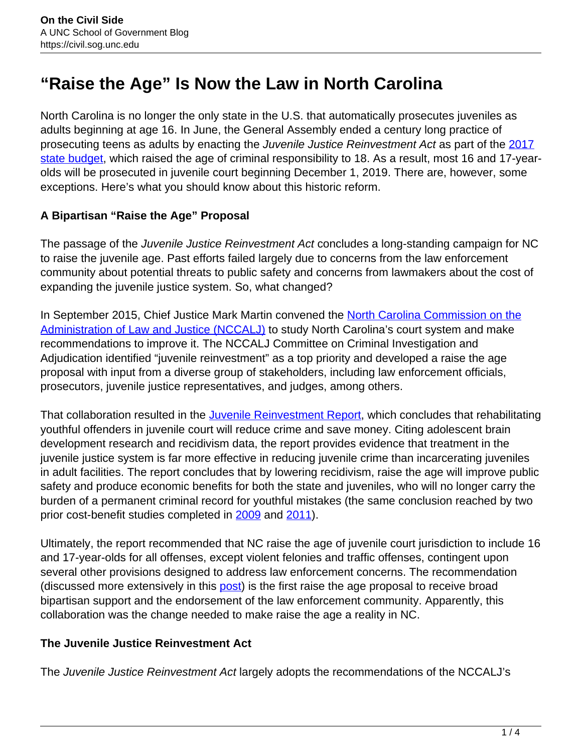# **"Raise the Age" Is Now the Law in North Carolina**

North Carolina is no longer the only state in the U.S. that automatically prosecutes juveniles as adults beginning at age 16. In June, the General Assembly ended a century long practice of prosecuting teens as adults by enacting the Juvenile Justice Reinvestment Act as part of the [2017](http://www.ncleg.net/Sessions/2017/Bills/Senate/HTML/S257v9.html) [state budget,](http://www.ncleg.net/Sessions/2017/Bills/Senate/HTML/S257v9.html) which raised the age of criminal responsibility to 18. As a result, most 16 and 17-yearolds will be prosecuted in juvenile court beginning December 1, 2019. There are, however, some exceptions. Here's what you should know about this historic reform.

# **A Bipartisan "Raise the Age" Proposal**

The passage of the *Juvenile Justice Reinvestment Act* concludes a long-standing campaign for NC to raise the juvenile age. Past efforts failed largely due to concerns from the law enforcement community about potential threats to public safety and concerns from lawmakers about the cost of expanding the juvenile justice system. So, what changed?

In September 2015, Chief Justice Mark Martin convened the North Carolina Commission on the Administration of Law and Justice (NCCALJ) to study North Carolina's court system and make recommendations to improve it. The NCCALJ Committee on Criminal Investigation and Adjudication identified "juvenile reinvestment" as a top priority and developed a raise the age proposal with input from a diverse group of stakeholders, including law enforcement officials, prosecutors, juvenile justice representatives, and judges, among others.

That collaboration resulted in the *Juvenile Reinvestment Report*, which concludes that rehabilitating youthful offenders in juvenile court will reduce crime and save money. Citing adolescent brain development research and recidivism data, the report provides evidence that treatment in the juvenile justice system is far more effective in reducing juvenile crime than incarcerating juveniles in adult facilities. The report concludes that by lowering recidivism, raise the age will improve public safety and produce economic benefits for both the state and juveniles, who will no longer carry the burden of a permanent criminal record for youthful mistakes (the same conclusion reached by two prior cost-benefit studies completed in 2009 and 2011).

Ultimately, the report recommended that NC raise the age of juvenile court jurisdiction to include 16 and 17-year-olds for all offenses, except violent felonies and traffic offenses, contingent upon several other provisions designed to address law enforcement concerns. The recommendation (discussed more extensively in this post) is the first raise the age proposal to receive broad bipartisan support and the endorsement of the law enforcement community. Apparently, this collaboration was the change needed to make raise the age a reality in NC.

# **The Juvenile Justice Reinvestment Act**

The Juvenile Justice Reinvestment Act largely adopts the recommendations of the NCCALJ's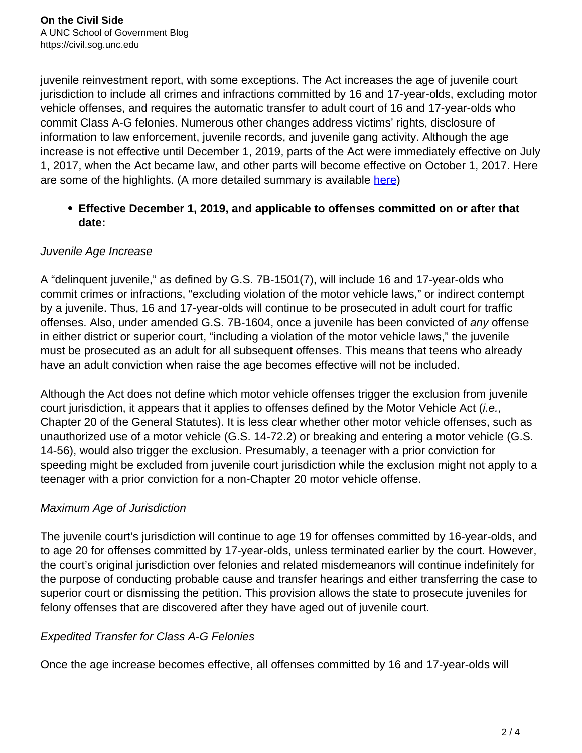juvenile reinvestment report, with some exceptions. The Act increases the age of juvenile court jurisdiction to include all crimes and infractions committed by 16 and 17-year-olds, excluding motor vehicle offenses, and requires the automatic transfer to adult court of 16 and 17-year-olds who commit Class A-G felonies. Numerous other changes address victims' rights, disclosure of information to law enforcement, juvenile records, and juvenile gang activity. Although the age increase is not effective until December 1, 2019, parts of the Act were immediately effective on July 1, 2017, when the Act became law, and other parts will become effective on October 1, 2017. Here are some of the highlights. (A more detailed summary is available here)

# **Effective December 1, 2019, and applicable to offenses committed on or after that date:**

# Juvenile Age Increase

A "delinquent juvenile," as defined by G.S. 7B-1501(7), will include 16 and 17-year-olds who commit crimes or infractions, "excluding violation of the motor vehicle laws," or indirect contempt by a juvenile. Thus, 16 and 17-year-olds will continue to be prosecuted in adult court for traffic offenses. Also, under amended G.S. 7B-1604, once a juvenile has been convicted of any offense in either district or superior court, "including a violation of the motor vehicle laws," the juvenile must be prosecuted as an adult for all subsequent offenses. This means that teens who already have an adult conviction when raise the age becomes effective will not be included.

Although the Act does not define which motor vehicle offenses trigger the exclusion from juvenile court jurisdiction, it appears that it applies to offenses defined by the Motor Vehicle Act (*i.e.*, Chapter 20 of the General Statutes). It is less clear whether other motor vehicle offenses, such as unauthorized use of a motor vehicle (G.S. 14-72.2) or breaking and entering a motor vehicle (G.S. 14-56), would also trigger the exclusion. Presumably, a teenager with a prior conviction for speeding might be excluded from juvenile court jurisdiction while the exclusion might not apply to a teenager with a prior conviction for a non-Chapter 20 motor vehicle offense.

# Maximum Age of Jurisdiction

The juvenile court's jurisdiction will continue to age 19 for offenses committed by 16-year-olds, and to age 20 for offenses committed by 17-year-olds, unless terminated earlier by the court. However, the court's original jurisdiction over felonies and related misdemeanors will continue indefinitely for the purpose of conducting probable cause and transfer hearings and either transferring the case to superior court or dismissing the petition. This provision allows the state to prosecute juveniles for felony offenses that are discovered after they have aged out of juvenile court.

#### Expedited Transfer for Class A-G Felonies

Once the age increase becomes effective, all offenses committed by 16 and 17-year-olds will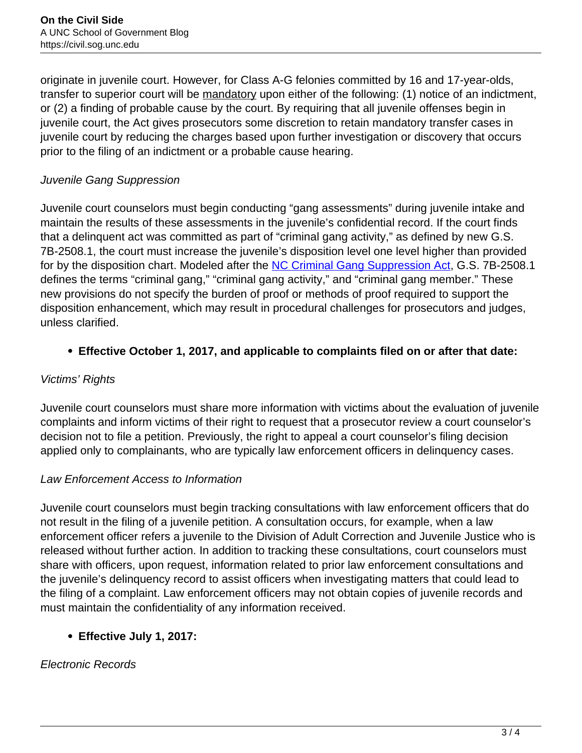originate in juvenile court. However, for Class A-G felonies committed by 16 and 17-year-olds, transfer to superior court will be mandatory upon either of the following: (1) notice of an indictment, or (2) a finding of probable cause by the court. By requiring that all juvenile offenses begin in juvenile court, the Act gives prosecutors some discretion to retain mandatory transfer cases in juvenile court by reducing the charges based upon further investigation or discovery that occurs prior to the filing of an indictment or a probable cause hearing.

# Juvenile Gang Suppression

Juvenile court counselors must begin conducting "gang assessments" during juvenile intake and maintain the results of these assessments in the juvenile's confidential record. If the court finds that a delinquent act was committed as part of "criminal gang activity," as defined by new G.S. 7B-2508.1, the court must increase the juvenile's disposition level one level higher than provided for by the disposition chart. Modeled after the **NC Criminal Gang Suppression Act**, G.S. 7B-2508.1 defines the terms "criminal gang," "criminal gang activity," and "criminal gang member." These new provisions do not specify the burden of proof or methods of proof required to support the disposition enhancement, which may result in procedural challenges for prosecutors and judges, unless clarified.

# **Effective October 1, 2017, and applicable to complaints filed on or after that date:**

# Victims' Rights

Juvenile court counselors must share more information with victims about the evaluation of juvenile complaints and inform victims of their right to request that a prosecutor review a court counselor's decision not to file a petition. Previously, the right to appeal a court counselor's filing decision applied only to complainants, who are typically law enforcement officers in delinquency cases.

# Law Enforcement Access to Information

Juvenile court counselors must begin tracking consultations with law enforcement officers that do not result in the filing of a juvenile petition. A consultation occurs, for example, when a law enforcement officer refers a juvenile to the Division of Adult Correction and Juvenile Justice who is released without further action. In addition to tracking these consultations, court counselors must share with officers, upon request, information related to prior law enforcement consultations and the juvenile's delinquency record to assist officers when investigating matters that could lead to the filing of a complaint. Law enforcement officers may not obtain copies of juvenile records and must maintain the confidentiality of any information received.

# **Effective July 1, 2017:**

# Electronic Records